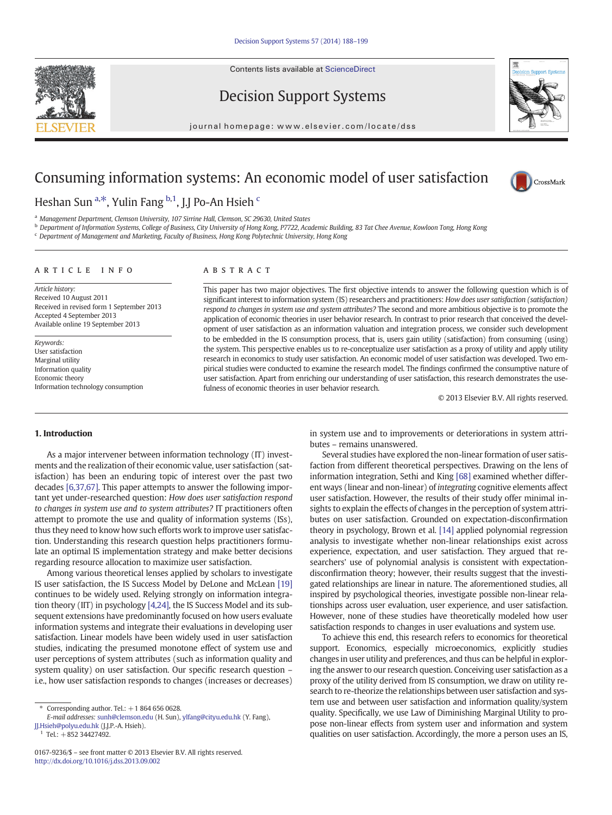Contents lists available at [ScienceDirect](http://www.sciencedirect.com/science/journal/01679236)







CrossMark

journal homepage: www.elsevier.com/locate/dss

## Consuming information systems: An economic model of user satisfaction

Heshan Sun <sup>a,\*</sup>, Yulin Fang <sup>b,1</sup>, J.J Po-An Hsieh <sup>c</sup>

a Management Department, Clemson University, 107 Sirrine Hall, Clemson, SC 29630, United States

<sup>b</sup> Department of Information Systems, College of Business, City University of Hong Kong, P7722, Academic Building, 83 Tat Chee Avenue, Kowloon Tong, Hong Kong

<sup>c</sup> Department of Management and Marketing, Faculty of Business, Hong Kong Polytechnic University, Hong Kong

### article info abstract

Article history: Received 10 August 2011 Received in revised form 1 September 2013 Accepted 4 September 2013 Available online 19 September 2013

Keywords: User satisfaction Marginal utility Information quality Economic theory Information technology consumption

This paper has two major objectives. The first objective intends to answer the following question which is of significant interest to information system (IS) researchers and practitioners: How does user satisfaction (satisfaction) respond to changes in system use and system attributes? The second and more ambitious objective is to promote the application of economic theories in user behavior research. In contrast to prior research that conceived the development of user satisfaction as an information valuation and integration process, we consider such development to be embedded in the IS consumption process, that is, users gain utility (satisfaction) from consuming (using) the system. This perspective enables us to re-conceptualize user satisfaction as a proxy of utility and apply utility research in economics to study user satisfaction. An economic model of user satisfaction was developed. Two empirical studies were conducted to examine the research model. The findings confirmed the consumptive nature of user satisfaction. Apart from enriching our understanding of user satisfaction, this research demonstrates the usefulness of economic theories in user behavior research.

© 2013 Elsevier B.V. All rights reserved.

#### 1. Introduction

As a major intervener between information technology (IT) investments and the realization of their economic value, user satisfaction (satisfaction) has been an enduring topic of interest over the past two decades [\[6,37,67\].](#page--1-0) This paper attempts to answer the following important yet under-researched question: How does user satisfaction respond to changes in system use and to system attributes? IT practitioners often attempt to promote the use and quality of information systems (ISs), thus they need to know how such efforts work to improve user satisfaction. Understanding this research question helps practitioners formulate an optimal IS implementation strategy and make better decisions regarding resource allocation to maximize user satisfaction.

Among various theoretical lenses applied by scholars to investigate IS user satisfaction, the IS Success Model by DeLone and McLean [\[19\]](#page--1-0) continues to be widely used. Relying strongly on information integration theory (IIT) in psychology [\[4,24\]](#page--1-0), the IS Success Model and its subsequent extensions have predominantly focused on how users evaluate information systems and integrate their evaluations in developing user satisfaction. Linear models have been widely used in user satisfaction studies, indicating the presumed monotone effect of system use and user perceptions of system attributes (such as information quality and system quality) on user satisfaction. Our specific research question – i.e., how user satisfaction responds to changes (increases or decreases)

E-mail addresses: [sunh@clemson.edu](mailto:sunh@clemson.edu) (H. Sun), [ylfang@cityu.edu.hk](mailto:ylfang@cityu.edu.hk) (Y. Fang), [JJ.Hsieh@polyu.edu.hk](mailto:JJ.Hsieh@polyu.edu.hk) (J.J.P.-A. Hsieh).

 $1$  Tel.:  $+85234427492$ .

in system use and to improvements or deteriorations in system attributes – remains unanswered.

Several studies have explored the non-linear formation of user satisfaction from different theoretical perspectives. Drawing on the lens of information integration, Sethi and King [\[68\]](#page--1-0) examined whether different ways (linear and non-linear) of integrating cognitive elements affect user satisfaction. However, the results of their study offer minimal insights to explain the effects of changes in the perception of system attributes on user satisfaction. Grounded on expectation-disconfirmation theory in psychology, Brown et al. [\[14\]](#page--1-0) applied polynomial regression analysis to investigate whether non-linear relationships exist across experience, expectation, and user satisfaction. They argued that researchers' use of polynomial analysis is consistent with expectationdisconfirmation theory; however, their results suggest that the investigated relationships are linear in nature. The aforementioned studies, all inspired by psychological theories, investigate possible non-linear relationships across user evaluation, user experience, and user satisfaction. However, none of these studies have theoretically modeled how user satisfaction responds to changes in user evaluations and system use.

To achieve this end, this research refers to economics for theoretical support. Economics, especially microeconomics, explicitly studies changes in user utility and preferences, and thus can be helpful in exploring the answer to our research question. Conceiving user satisfaction as a proxy of the utility derived from IS consumption, we draw on utility research to re-theorize the relationships between user satisfaction and system use and between user satisfaction and information quality/system quality. Specifically, we use Law of Diminishing Marginal Utility to propose non-linear effects from system user and information and system qualities on user satisfaction. Accordingly, the more a person uses an IS,

 $*$  Corresponding author. Tel.:  $+18646560628$ .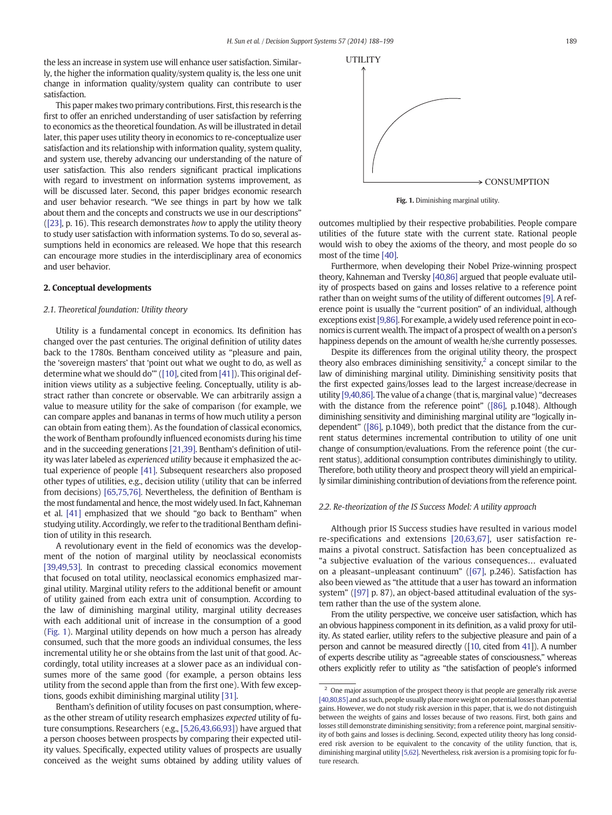the less an increase in system use will enhance user satisfaction. Similarly, the higher the information quality/system quality is, the less one unit change in information quality/system quality can contribute to user satisfaction.

This paper makes two primary contributions. First, this research is the first to offer an enriched understanding of user satisfaction by referring to economics as the theoretical foundation. As will be illustrated in detail later, this paper uses utility theory in economics to re-conceptualize user satisfaction and its relationship with information quality, system quality, and system use, thereby advancing our understanding of the nature of user satisfaction. This also renders significant practical implications with regard to investment on information systems improvement, as will be discussed later. Second, this paper bridges economic research and user behavior research. "We see things in part by how we talk about them and the concepts and constructs we use in our descriptions" [\(\[23\]](#page--1-0), p. 16). This research demonstrates how to apply the utility theory to study user satisfaction with information systems. To do so, several assumptions held in economics are released. We hope that this research can encourage more studies in the interdisciplinary area of economics and user behavior.

#### 2. Conceptual developments

#### 2.1. Theoretical foundation: Utility theory

Utility is a fundamental concept in economics. Its definition has changed over the past centuries. The original definition of utility dates back to the 1780s. Bentham conceived utility as "pleasure and pain, the 'sovereign masters' that 'point out what we ought to do, as well as determine what we should do'" ([\[10\]](#page--1-0), cited from [\[41\]\)](#page--1-0). This original definition views utility as a subjective feeling. Conceptually, utility is abstract rather than concrete or observable. We can arbitrarily assign a value to measure utility for the sake of comparison (for example, we can compare apples and bananas in terms of how much utility a person can obtain from eating them). As the foundation of classical economics, the work of Bentham profoundly influenced economists during his time and in the succeeding generations [\[21,39\]](#page--1-0). Bentham's definition of utility was later labeled as experienced utility because it emphasized the actual experience of people [\[41\]](#page--1-0). Subsequent researchers also proposed other types of utilities, e.g., decision utility (utility that can be inferred from decisions) [\[65,75,76\]](#page--1-0). Nevertheless, the definition of Bentham is the most fundamental and hence, the most widely used. In fact, Kahneman et al. [\[41\]](#page--1-0) emphasized that we should "go back to Bentham" when studying utility. Accordingly, we refer to the traditional Bentham definition of utility in this research.

A revolutionary event in the field of economics was the development of the notion of marginal utility by neoclassical economists [\[39,49,53\]](#page--1-0). In contrast to preceding classical economics movement that focused on total utility, neoclassical economics emphasized marginal utility. Marginal utility refers to the additional benefit or amount of utility gained from each extra unit of consumption. According to the law of diminishing marginal utility, marginal utility decreases with each additional unit of increase in the consumption of a good (Fig. 1). Marginal utility depends on how much a person has already consumed, such that the more goods an individual consumes, the less incremental utility he or she obtains from the last unit of that good. Accordingly, total utility increases at a slower pace as an individual consumes more of the same good (for example, a person obtains less utility from the second apple than from the first one). With few exceptions, goods exhibit diminishing marginal utility [\[31\]](#page--1-0).

Bentham's definition of utility focuses on past consumption, whereas the other stream of utility research emphasizes expected utility of future consumptions. Researchers (e.g., [\[5,26,43,66,93\]](#page--1-0)) have argued that a person chooses between prospects by comparing their expected utility values. Specifically, expected utility values of prospects are usually conceived as the weight sums obtained by adding utility values of



Fig. 1. Diminishing marginal utility.

outcomes multiplied by their respective probabilities. People compare utilities of the future state with the current state. Rational people would wish to obey the axioms of the theory, and most people do so most of the time [\[40\].](#page--1-0)

Furthermore, when developing their Nobel Prize-winning prospect theory, Kahneman and Tversky [\[40,86\]](#page--1-0) argued that people evaluate utility of prospects based on gains and losses relative to a reference point rather than on weight sums of the utility of different outcomes [\[9\]](#page--1-0). A reference point is usually the "current position" of an individual, although exceptions exist [\[9,86\]](#page--1-0). For example, a widely used reference point in economics is current wealth. The impact of a prospect of wealth on a person's happiness depends on the amount of wealth he/she currently possesses.

Despite its differences from the original utility theory, the prospect theory also embraces diminishing sensitivity, $\frac{2}{3}$  a concept similar to the law of diminishing marginal utility. Diminishing sensitivity posits that the first expected gains/losses lead to the largest increase/decrease in utility [\[9,40,86\]](#page--1-0). The value of a change (that is, marginal value) "decreases with the distance from the reference point" ([\[86\],](#page--1-0) p.1048). Although diminishing sensitivity and diminishing marginal utility are "logically independent" [\(\[86\]](#page--1-0), p.1049), both predict that the distance from the current status determines incremental contribution to utility of one unit change of consumption/evaluations. From the reference point (the current status), additional consumption contributes diminishingly to utility. Therefore, both utility theory and prospect theory will yield an empirically similar diminishing contribution of deviations from the reference point.

#### 2.2. Re-theorization of the IS Success Model: A utility approach

Although prior IS Success studies have resulted in various model re-specifications and extensions [\[20,63,67\],](#page--1-0) user satisfaction remains a pivotal construct. Satisfaction has been conceptualized as "a subjective evaluation of the various consequences… evaluated on a pleasant–unpleasant continuum" [\(\[67\]](#page--1-0), p.246). Satisfaction has also been viewed as "the attitude that a user has toward an information system" ([\[97\]](#page--1-0) p. 87), an object-based attitudinal evaluation of the system rather than the use of the system alone.

From the utility perspective, we conceive user satisfaction, which has an obvious happiness component in its definition, as a valid proxy for utility. As stated earlier, utility refers to the subjective pleasure and pain of a person and cannot be measured directly ([[10](#page--1-0), cited from [41\]](#page--1-0)). A number of experts describe utility as "agreeable states of consciousness," whereas others explicitly refer to utility as "the satisfaction of people's informed

 $2$  One major assumption of the prospect theory is that people are generally risk averse [\[40,80,85\]](#page--1-0) and as such, people usually place more weight on potential losses than potential gains. However, we do not study risk aversion in this paper, that is, we do not distinguish between the weights of gains and losses because of two reasons. First, both gains and losses still demonstrate diminishing sensitivity; from a reference point, marginal sensitivity of both gains and losses is declining. Second, expected utility theory has long considered risk aversion to be equivalent to the concavity of the utility function, that is, diminishing marginal utility [\[5,62\]](#page--1-0). Nevertheless, risk aversion is a promising topic for future research.